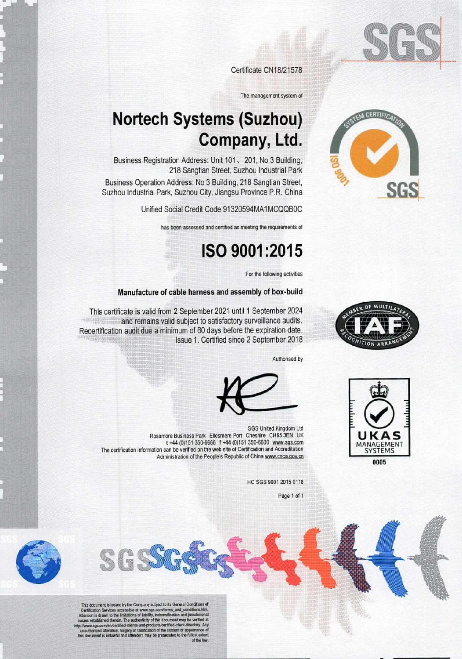

TEM CERTIFICAT

Certificate CN18/21578

The management system of

# **Nortech Systems (Suzhou)** Company, Ltd.

Business Registration Address: Unit 101, 201, No 3 Building, 218 Sangtian Street, Suzhou Industrial Park

Business Operation Address: No 3 Building, 218 Sangtian Street, Suzhou Industrial Park, Suzhou City, Jiangsu Province P.R. China

Unified Social Credit Code 91320594MA1MCQQB0C

has been assessed and certified as meeting the requirements of

### ISO 9001:2015

For the following activities

#### Manufacture of cable harness and assembly of box-build



This certificate is valid from 2 September 2021 until 1 September 2024 and remains valid subject to satisfactory surveillance audits. Recertification audit due a minimum of 60 days before the expiration date. Issue 1. Certified since 2 September 2018

Authorised by





HC SGS 9001 2015 0118

Page 1 of 1



This document is issued by the Company subject to its General Conditions of This countern is a issue by the Company support to its constant conditions here.<br>Certification Services accessible at www.sgs.com/terms.and\_conditions.htm.<br>Attention is dr zwn to the limitations of lability, indemnificatio

SGSS